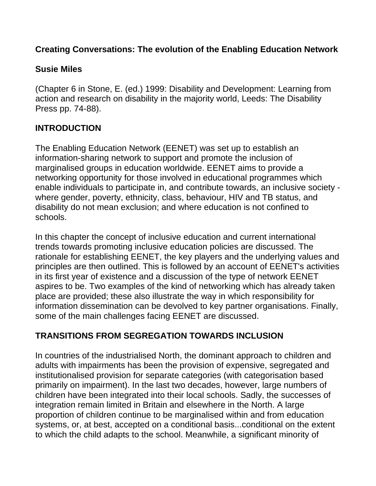#### **Creating Conversations: The evolution of the Enabling Education Network**

#### **Susie Miles**

(Chapter 6 in Stone, E. (ed.) 1999: Disability and Development: Learning from action and research on disability in the majority world, Leeds: The Disability Press pp. 74-88).

### **INTRODUCTION**

The Enabling Education Network (EENET) was set up to establish an information-sharing network to support and promote the inclusion of marginalised groups in education worldwide. EENET aims to provide a networking opportunity for those involved in educational programmes which enable individuals to participate in, and contribute towards, an inclusive society where gender, poverty, ethnicity, class, behaviour, HIV and TB status, and disability do not mean exclusion; and where education is not confined to schools.

In this chapter the concept of inclusive education and current international trends towards promoting inclusive education policies are discussed. The rationale for establishing EENET, the key players and the underlying values and principles are then outlined. This is followed by an account of EENET's activities in its first year of existence and a discussion of the type of network EENET aspires to be. Two examples of the kind of networking which has already taken place are provided; these also illustrate the way in which responsibility for information dissemination can be devolved to key partner organisations. Finally, some of the main challenges facing EENET are discussed.

#### **TRANSITIONS FROM SEGREGATION TOWARDS INCLUSION**

In countries of the industrialised North, the dominant approach to children and adults with impairments has been the provision of expensive, segregated and institutionalised provision for separate categories (with categorisation based primarily on impairment). In the last two decades, however, large numbers of children have been integrated into their local schools. Sadly, the successes of integration remain limited in Britain and elsewhere in the North. A large proportion of children continue to be marginalised within and from education systems, or, at best, accepted on a conditional basis...conditional on the extent to which the child adapts to the school. Meanwhile, a significant minority of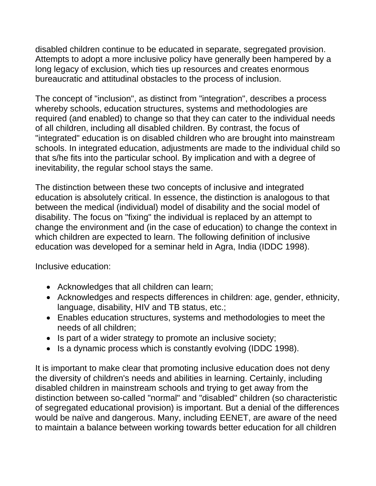disabled children continue to be educated in separate, segregated provision. Attempts to adopt a more inclusive policy have generally been hampered by a long legacy of exclusion, which ties up resources and creates enormous bureaucratic and attitudinal obstacles to the process of inclusion.

The concept of "inclusion", as distinct from "integration", describes a process whereby schools, education structures, systems and methodologies are required (and enabled) to change so that they can cater to the individual needs of all children, including all disabled children. By contrast, the focus of "integrated" education is on disabled children who are brought into mainstream schools. In integrated education, adjustments are made to the individual child so that s/he fits into the particular school. By implication and with a degree of inevitability, the regular school stays the same.

The distinction between these two concepts of inclusive and integrated education is absolutely critical. In essence, the distinction is analogous to that between the medical (individual) model of disability and the social model of disability. The focus on "fixing" the individual is replaced by an attempt to change the environment and (in the case of education) to change the context in which children are expected to learn. The following definition of inclusive education was developed for a seminar held in Agra, India (IDDC 1998).

Inclusive education:

- Acknowledges that all children can learn;
- Acknowledges and respects differences in children: age, gender, ethnicity, language, disability, HIV and TB status, etc.;
- Enables education structures, systems and methodologies to meet the needs of all children;
- Is part of a wider strategy to promote an inclusive society;
- Is a dynamic process which is constantly evolving (IDDC 1998).

It is important to make clear that promoting inclusive education does not deny the diversity of children's needs and abilities in learning. Certainly, including disabled children in mainstream schools and trying to get away from the distinction between so-called "normal" and "disabled" children (so characteristic of segregated educational provision) is important. But a denial of the differences would be naïve and dangerous. Many, including EENET, are aware of the need to maintain a balance between working towards better education for all children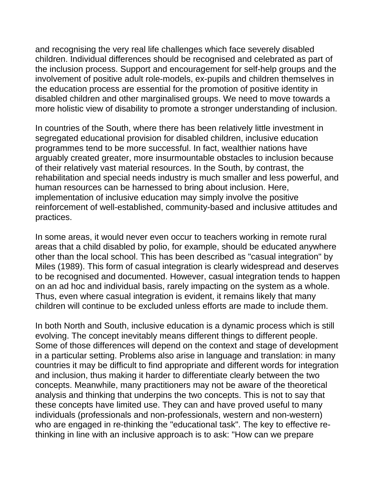and recognising the very real life challenges which face severely disabled children. Individual differences should be recognised and celebrated as part of the inclusion process. Support and encouragement for self-help groups and the involvement of positive adult role-models, ex-pupils and children themselves in the education process are essential for the promotion of positive identity in disabled children and other marginalised groups. We need to move towards a more holistic view of disability to promote a stronger understanding of inclusion.

In countries of the South, where there has been relatively little investment in segregated educational provision for disabled children, inclusive education programmes tend to be more successful. In fact, wealthier nations have arguably created greater, more insurmountable obstacles to inclusion because of their relatively vast material resources. In the South, by contrast, the rehabilitation and special needs industry is much smaller and less powerful, and human resources can be harnessed to bring about inclusion. Here, implementation of inclusive education may simply involve the positive reinforcement of well-established, community-based and inclusive attitudes and practices.

In some areas, it would never even occur to teachers working in remote rural areas that a child disabled by polio, for example, should be educated anywhere other than the local school. This has been described as "casual integration" by Miles (1989). This form of casual integration is clearly widespread and deserves to be recognised and documented. However, casual integration tends to happen on an ad hoc and individual basis, rarely impacting on the system as a whole. Thus, even where casual integration is evident, it remains likely that many children will continue to be excluded unless efforts are made to include them.

In both North and South, inclusive education is a dynamic process which is still evolving. The concept inevitably means different things to different people. Some of those differences will depend on the context and stage of development in a particular setting. Problems also arise in language and translation: in many countries it may be difficult to find appropriate and different words for integration and inclusion, thus making it harder to differentiate clearly between the two concepts. Meanwhile, many practitioners may not be aware of the theoretical analysis and thinking that underpins the two concepts. This is not to say that these concepts have limited use. They can and have proved useful to many individuals (professionals and non-professionals, western and non-western) who are engaged in re-thinking the "educational task". The key to effective rethinking in line with an inclusive approach is to ask: "How can we prepare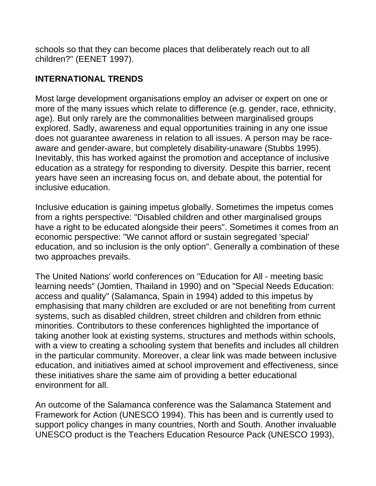schools so that they can become places that deliberately reach out to all children?" (EENET 1997).

### **INTERNATIONAL TRENDS**

Most large development organisations employ an adviser or expert on one or more of the many issues which relate to difference (e.g. gender, race, ethnicity, age). But only rarely are the commonalities between marginalised groups explored. Sadly, awareness and equal opportunities training in any one issue does not guarantee awareness in relation to all issues. A person may be raceaware and gender-aware, but completely disability-unaware (Stubbs 1995). Inevitably, this has worked against the promotion and acceptance of inclusive education as a strategy for responding to diversity. Despite this barrier, recent years have seen an increasing focus on, and debate about, the potential for inclusive education.

Inclusive education is gaining impetus globally. Sometimes the impetus comes from a rights perspective: "Disabled children and other marginalised groups have a right to be educated alongside their peers". Sometimes it comes from an economic perspective: "We cannot afford or sustain segregated 'special' education, and so inclusion is the only option". Generally a combination of these two approaches prevails.

The United Nations' world conferences on "Education for All - meeting basic learning needs" (Jomtien, Thailand in 1990) and on "Special Needs Education: access and quality" (Salamanca, Spain in 1994) added to this impetus by emphasising that many children are excluded or are not benefiting from current systems, such as disabled children, street children and children from ethnic minorities. Contributors to these conferences highlighted the importance of taking another look at existing systems, structures and methods within schools, with a view to creating a schooling system that benefits and includes all children in the particular community. Moreover, a clear link was made between inclusive education, and initiatives aimed at school improvement and effectiveness, since these initiatives share the same aim of providing a better educational environment for all.

An outcome of the Salamanca conference was the Salamanca Statement and Framework for Action (UNESCO 1994). This has been and is currently used to support policy changes in many countries, North and South. Another invaluable UNESCO product is the Teachers Education Resource Pack (UNESCO 1993),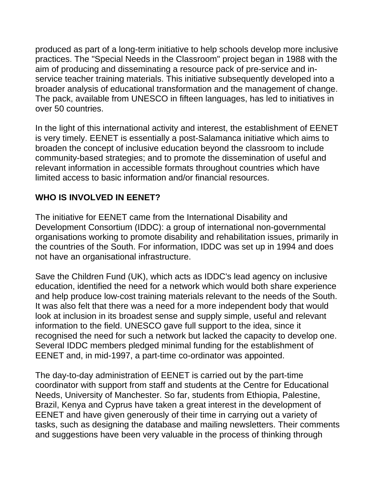produced as part of a long-term initiative to help schools develop more inclusive practices. The "Special Needs in the Classroom" project began in 1988 with the aim of producing and disseminating a resource pack of pre-service and inservice teacher training materials. This initiative subsequently developed into a broader analysis of educational transformation and the management of change. The pack, available from UNESCO in fifteen languages, has led to initiatives in over 50 countries.

In the light of this international activity and interest, the establishment of EENET is very timely. EENET is essentially a post-Salamanca initiative which aims to broaden the concept of inclusive education beyond the classroom to include community-based strategies; and to promote the dissemination of useful and relevant information in accessible formats throughout countries which have limited access to basic information and/or financial resources.

#### **WHO IS INVOLVED IN EENET?**

The initiative for EENET came from the International Disability and Development Consortium (IDDC): a group of international non-governmental organisations working to promote disability and rehabilitation issues, primarily in the countries of the South. For information, IDDC was set up in 1994 and does not have an organisational infrastructure.

Save the Children Fund (UK), which acts as IDDC's lead agency on inclusive education, identified the need for a network which would both share experience and help produce low-cost training materials relevant to the needs of the South. It was also felt that there was a need for a more independent body that would look at inclusion in its broadest sense and supply simple, useful and relevant information to the field. UNESCO gave full support to the idea, since it recognised the need for such a network but lacked the capacity to develop one. Several IDDC members pledged minimal funding for the establishment of EENET and, in mid-1997, a part-time co-ordinator was appointed.

The day-to-day administration of EENET is carried out by the part-time coordinator with support from staff and students at the Centre for Educational Needs, University of Manchester. So far, students from Ethiopia, Palestine, Brazil, Kenya and Cyprus have taken a great interest in the development of EENET and have given generously of their time in carrying out a variety of tasks, such as designing the database and mailing newsletters. Their comments and suggestions have been very valuable in the process of thinking through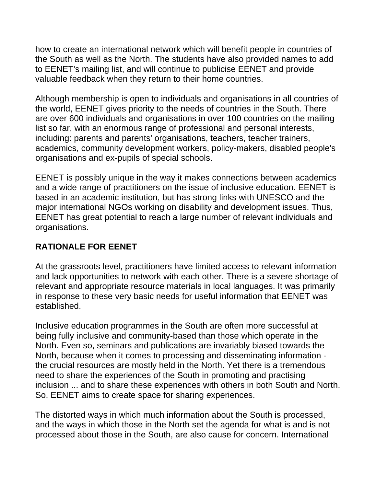how to create an international network which will benefit people in countries of the South as well as the North. The students have also provided names to add to EENET's mailing list, and will continue to publicise EENET and provide valuable feedback when they return to their home countries.

Although membership is open to individuals and organisations in all countries of the world, EENET gives priority to the needs of countries in the South. There are over 600 individuals and organisations in over 100 countries on the mailing list so far, with an enormous range of professional and personal interests, including: parents and parents' organisations, teachers, teacher trainers, academics, community development workers, policy-makers, disabled people's organisations and ex-pupils of special schools.

EENET is possibly unique in the way it makes connections between academics and a wide range of practitioners on the issue of inclusive education. EENET is based in an academic institution, but has strong links with UNESCO and the major international NGOs working on disability and development issues. Thus, EENET has great potential to reach a large number of relevant individuals and organisations.

#### **RATIONALE FOR EENET**

At the grassroots level, practitioners have limited access to relevant information and lack opportunities to network with each other. There is a severe shortage of relevant and appropriate resource materials in local languages. It was primarily in response to these very basic needs for useful information that EENET was established.

Inclusive education programmes in the South are often more successful at being fully inclusive and community-based than those which operate in the North. Even so, seminars and publications are invariably biased towards the North, because when it comes to processing and disseminating information the crucial resources are mostly held in the North. Yet there is a tremendous need to share the experiences of the South in promoting and practising inclusion ... and to share these experiences with others in both South and North. So, EENET aims to create space for sharing experiences.

The distorted ways in which much information about the South is processed, and the ways in which those in the North set the agenda for what is and is not processed about those in the South, are also cause for concern. International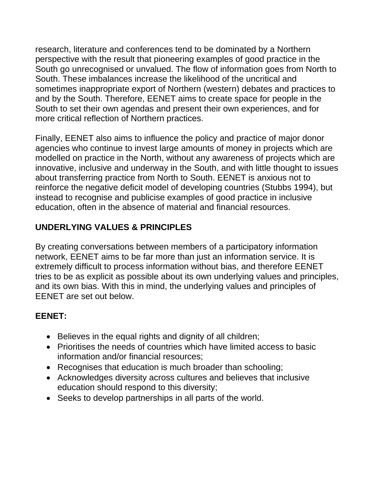research, literature and conferences tend to be dominated by a Northern perspective with the result that pioneering examples of good practice in the South go unrecognised or unvalued. The flow of information goes from North to South. These imbalances increase the likelihood of the uncritical and sometimes inappropriate export of Northern (western) debates and practices to and by the South. Therefore, EENET aims to create space for people in the South to set their own agendas and present their own experiences, and for more critical reflection of Northern practices.

Finally, EENET also aims to influence the policy and practice of major donor agencies who continue to invest large amounts of money in projects which are modelled on practice in the North, without any awareness of projects which are innovative, inclusive and underway in the South, and with little thought to issues about transferring practice from North to South. EENET is anxious not to reinforce the negative deficit model of developing countries (Stubbs 1994), but instead to recognise and publicise examples of good practice in inclusive education, often in the absence of material and financial resources.

## **UNDERLYING VALUES & PRINCIPLES**

By creating conversations between members of a participatory information network, EENET aims to be far more than just an information service. It is extremely difficult to process information without bias, and therefore EENET tries to be as explicit as possible about its own underlying values and principles, and its own bias. With this in mind, the underlying values and principles of EENET are set out below.

#### **EENET:**

- Believes in the equal rights and dignity of all children;
- Prioritises the needs of countries which have limited access to basic information and/or financial resources;
- Recognises that education is much broader than schooling;
- Acknowledges diversity across cultures and believes that inclusive education should respond to this diversity;
- Seeks to develop partnerships in all parts of the world.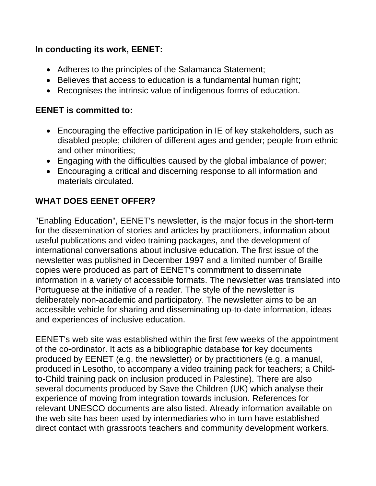#### **In conducting its work, EENET:**

- Adheres to the principles of the Salamanca Statement;
- Believes that access to education is a fundamental human right;
- Recognises the intrinsic value of indigenous forms of education.

#### **EENET is committed to:**

- Encouraging the effective participation in IE of key stakeholders, such as disabled people; children of different ages and gender; people from ethnic and other minorities;
- Engaging with the difficulties caused by the global imbalance of power;
- Encouraging a critical and discerning response to all information and materials circulated.

### **WHAT DOES EENET OFFER?**

"Enabling Education", EENET's newsletter, is the major focus in the short-term for the dissemination of stories and articles by practitioners, information about useful publications and video training packages, and the development of international conversations about inclusive education. The first issue of the newsletter was published in December 1997 and a limited number of Braille copies were produced as part of EENET's commitment to disseminate information in a variety of accessible formats. The newsletter was translated into Portuguese at the initiative of a reader. The style of the newsletter is deliberately non-academic and participatory. The newsletter aims to be an accessible vehicle for sharing and disseminating up-to-date information, ideas and experiences of inclusive education.

EENET's web site was established within the first few weeks of the appointment of the co-ordinator. It acts as a bibliographic database for key documents produced by EENET (e.g. the newsletter) or by practitioners (e.g. a manual, produced in Lesotho, to accompany a video training pack for teachers; a Childto-Child training pack on inclusion produced in Palestine). There are also several documents produced by Save the Children (UK) which analyse their experience of moving from integration towards inclusion. References for relevant UNESCO documents are also listed. Already information available on the web site has been used by intermediaries who in turn have established direct contact with grassroots teachers and community development workers.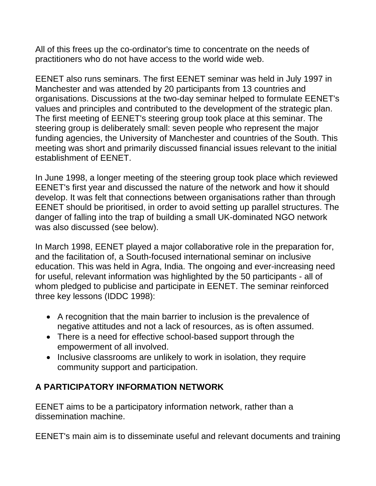All of this frees up the co-ordinator's time to concentrate on the needs of practitioners who do not have access to the world wide web.

EENET also runs seminars. The first EENET seminar was held in July 1997 in Manchester and was attended by 20 participants from 13 countries and organisations. Discussions at the two-day seminar helped to formulate EENET's values and principles and contributed to the development of the strategic plan. The first meeting of EENET's steering group took place at this seminar. The steering group is deliberately small: seven people who represent the major funding agencies, the University of Manchester and countries of the South. This meeting was short and primarily discussed financial issues relevant to the initial establishment of EENET.

In June 1998, a longer meeting of the steering group took place which reviewed EENET's first year and discussed the nature of the network and how it should develop. It was felt that connections between organisations rather than through EENET should be prioritised, in order to avoid setting up parallel structures. The danger of falling into the trap of building a small UK-dominated NGO network was also discussed (see below).

In March 1998, EENET played a major collaborative role in the preparation for, and the facilitation of, a South-focused international seminar on inclusive education. This was held in Agra, India. The ongoing and ever-increasing need for useful, relevant information was highlighted by the 50 participants - all of whom pledged to publicise and participate in EENET. The seminar reinforced three key lessons (IDDC 1998):

- A recognition that the main barrier to inclusion is the prevalence of negative attitudes and not a lack of resources, as is often assumed.
- There is a need for effective school-based support through the empowerment of all involved.
- Inclusive classrooms are unlikely to work in isolation, they require community support and participation.

#### **A PARTICIPATORY INFORMATION NETWORK**

EENET aims to be a participatory information network, rather than a dissemination machine.

EENET's main aim is to disseminate useful and relevant documents and training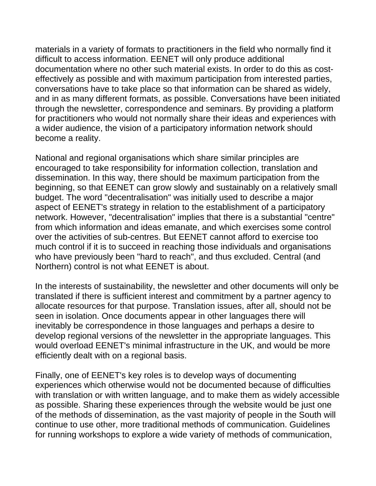materials in a variety of formats to practitioners in the field who normally find it difficult to access information. EENET will only produce additional documentation where no other such material exists. In order to do this as costeffectively as possible and with maximum participation from interested parties, conversations have to take place so that information can be shared as widely, and in as many different formats, as possible. Conversations have been initiated through the newsletter, correspondence and seminars. By providing a platform for practitioners who would not normally share their ideas and experiences with a wider audience, the vision of a participatory information network should become a reality.

National and regional organisations which share similar principles are encouraged to take responsibility for information collection, translation and dissemination. In this way, there should be maximum participation from the beginning, so that EENET can grow slowly and sustainably on a relatively small budget. The word "decentralisation" was initially used to describe a major aspect of EENET's strategy in relation to the establishment of a participatory network. However, "decentralisation" implies that there is a substantial "centre" from which information and ideas emanate, and which exercises some control over the activities of sub-centres. But EENET cannot afford to exercise too much control if it is to succeed in reaching those individuals and organisations who have previously been "hard to reach", and thus excluded. Central (and Northern) control is not what EENET is about.

In the interests of sustainability, the newsletter and other documents will only be translated if there is sufficient interest and commitment by a partner agency to allocate resources for that purpose. Translation issues, after all, should not be seen in isolation. Once documents appear in other languages there will inevitably be correspondence in those languages and perhaps a desire to develop regional versions of the newsletter in the appropriate languages. This would overload EENET's minimal infrastructure in the UK, and would be more efficiently dealt with on a regional basis.

Finally, one of EENET's key roles is to develop ways of documenting experiences which otherwise would not be documented because of difficulties with translation or with written language, and to make them as widely accessible as possible. Sharing these experiences through the website would be just one of the methods of dissemination, as the vast majority of people in the South will continue to use other, more traditional methods of communication. Guidelines for running workshops to explore a wide variety of methods of communication,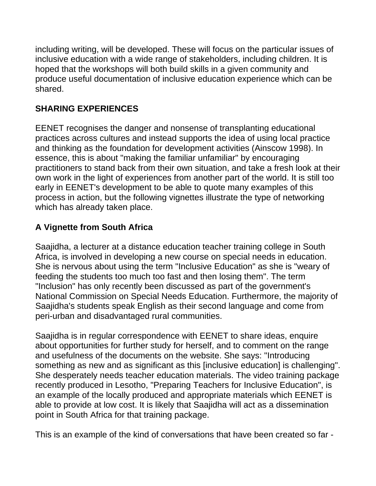including writing, will be developed. These will focus on the particular issues of inclusive education with a wide range of stakeholders, including children. It is hoped that the workshops will both build skills in a given community and produce useful documentation of inclusive education experience which can be shared.

### **SHARING EXPERIENCES**

EENET recognises the danger and nonsense of transplanting educational practices across cultures and instead supports the idea of using local practice and thinking as the foundation for development activities (Ainscow 1998). In essence, this is about "making the familiar unfamiliar" by encouraging practitioners to stand back from their own situation, and take a fresh look at their own work in the light of experiences from another part of the world. It is still too early in EENET's development to be able to quote many examples of this process in action, but the following vignettes illustrate the type of networking which has already taken place.

### **A Vignette from South Africa**

Saajidha, a lecturer at a distance education teacher training college in South Africa, is involved in developing a new course on special needs in education. She is nervous about using the term "Inclusive Education" as she is "weary of feeding the students too much too fast and then losing them". The term "Inclusion" has only recently been discussed as part of the government's National Commission on Special Needs Education. Furthermore, the majority of Saajidha's students speak English as their second language and come from peri-urban and disadvantaged rural communities.

Saajidha is in regular correspondence with EENET to share ideas, enquire about opportunities for further study for herself, and to comment on the range and usefulness of the documents on the website. She says: "Introducing something as new and as significant as this [inclusive education] is challenging". She desperately needs teacher education materials. The video training package recently produced in Lesotho, "Preparing Teachers for Inclusive Education", is an example of the locally produced and appropriate materials which EENET is able to provide at low cost. It is likely that Saajidha will act as a dissemination point in South Africa for that training package.

This is an example of the kind of conversations that have been created so far -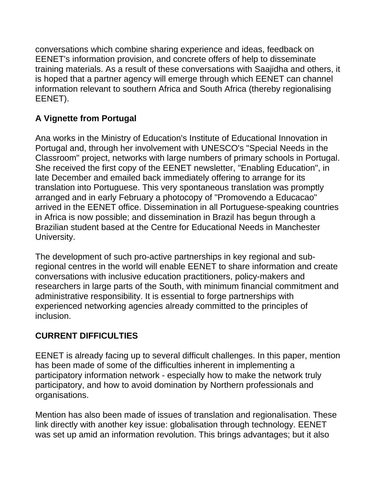conversations which combine sharing experience and ideas, feedback on EENET's information provision, and concrete offers of help to disseminate training materials. As a result of these conversations with Saajidha and others, it is hoped that a partner agency will emerge through which EENET can channel information relevant to southern Africa and South Africa (thereby regionalising EENET).

## **A Vignette from Portugal**

Ana works in the Ministry of Education's Institute of Educational Innovation in Portugal and, through her involvement with UNESCO's "Special Needs in the Classroom" project, networks with large numbers of primary schools in Portugal. She received the first copy of the EENET newsletter, "Enabling Education", in late December and emailed back immediately offering to arrange for its translation into Portuguese. This very spontaneous translation was promptly arranged and in early February a photocopy of "Promovendo a Educacao" arrived in the EENET office. Dissemination in all Portuguese-speaking countries in Africa is now possible; and dissemination in Brazil has begun through a Brazilian student based at the Centre for Educational Needs in Manchester University.

The development of such pro-active partnerships in key regional and subregional centres in the world will enable EENET to share information and create conversations with inclusive education practitioners, policy-makers and researchers in large parts of the South, with minimum financial commitment and administrative responsibility. It is essential to forge partnerships with experienced networking agencies already committed to the principles of inclusion.

### **CURRENT DIFFICULTIES**

EENET is already facing up to several difficult challenges. In this paper, mention has been made of some of the difficulties inherent in implementing a participatory information network - especially how to make the network truly participatory, and how to avoid domination by Northern professionals and organisations.

Mention has also been made of issues of translation and regionalisation. These link directly with another key issue: globalisation through technology. EENET was set up amid an information revolution. This brings advantages; but it also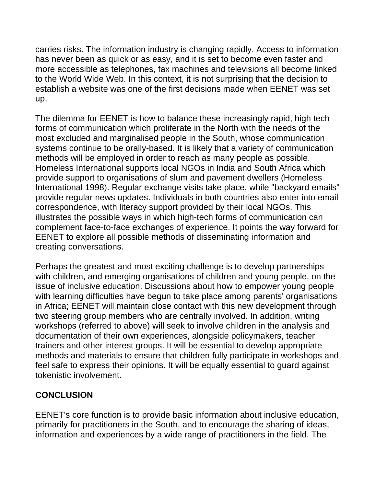carries risks. The information industry is changing rapidly. Access to information has never been as quick or as easy, and it is set to become even faster and more accessible as telephones, fax machines and televisions all become linked to the World Wide Web. In this context, it is not surprising that the decision to establish a website was one of the first decisions made when EENET was set up.

The dilemma for EENET is how to balance these increasingly rapid, high tech forms of communication which proliferate in the North with the needs of the most excluded and marginalised people in the South, whose communication systems continue to be orally-based. It is likely that a variety of communication methods will be employed in order to reach as many people as possible. Homeless International supports local NGOs in India and South Africa which provide support to organisations of slum and pavement dwellers (Homeless International 1998). Regular exchange visits take place, while "backyard emails" provide regular news updates. Individuals in both countries also enter into email correspondence, with literacy support provided by their local NGOs. This illustrates the possible ways in which high-tech forms of communication can complement face-to-face exchanges of experience. It points the way forward for EENET to explore all possible methods of disseminating information and creating conversations.

Perhaps the greatest and most exciting challenge is to develop partnerships with children, and emerging organisations of children and young people, on the issue of inclusive education. Discussions about how to empower young people with learning difficulties have begun to take place among parents' organisations in Africa; EENET will maintain close contact with this new development through two steering group members who are centrally involved. In addition, writing workshops (referred to above) will seek to involve children in the analysis and documentation of their own experiences, alongside policymakers, teacher trainers and other interest groups. It will be essential to develop appropriate methods and materials to ensure that children fully participate in workshops and feel safe to express their opinions. It will be equally essential to guard against tokenistic involvement.

#### **CONCLUSION**

EENET's core function is to provide basic information about inclusive education, primarily for practitioners in the South, and to encourage the sharing of ideas, information and experiences by a wide range of practitioners in the field. The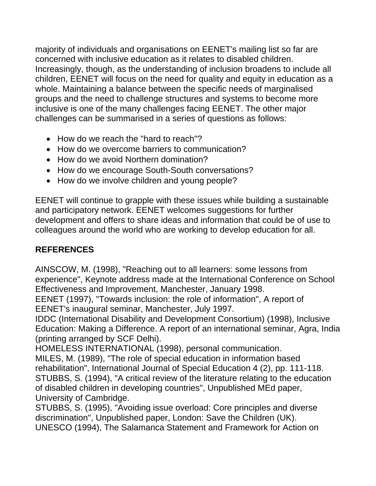majority of individuals and organisations on EENET's mailing list so far are concerned with inclusive education as it relates to disabled children. Increasingly, though, as the understanding of inclusion broadens to include all children, EENET will focus on the need for quality and equity in education as a whole. Maintaining a balance between the specific needs of marginalised groups and the need to challenge structures and systems to become more inclusive is one of the many challenges facing EENET. The other major challenges can be summarised in a series of questions as follows:

- How do we reach the "hard to reach"?
- How do we overcome barriers to communication?
- How do we avoid Northern domination?
- How do we encourage South-South conversations?
- How do we involve children and young people?

EENET will continue to grapple with these issues while building a sustainable and participatory network. EENET welcomes suggestions for further development and offers to share ideas and information that could be of use to colleagues around the world who are working to develop education for all.

# **REFERENCES**

AINSCOW, M. (1998), "Reaching out to all learners: some lessons from experience", Keynote address made at the International Conference on School Effectiveness and Improvement, Manchester, January 1998.

EENET (1997), "Towards inclusion: the role of information", A report of EENET's inaugural seminar, Manchester, July 1997.

IDDC (International Disability and Development Consortium) (1998), Inclusive Education: Making a Difference. A report of an international seminar, Agra, India (printing arranged by SCF Delhi).

HOMELESS INTERNATIONAL (1998), personal communication.

MILES, M. (1989), "The role of special education in information based rehabilitation", International Journal of Special Education 4 (2), pp. 111-118. STUBBS, S. (1994), "A critical review of the literature relating to the education of disabled children in developing countries", Unpublished MEd paper, University of Cambridge.

STUBBS, S. (1995), "Avoiding issue overload: Core principles and diverse discrimination", Unpublished paper, London: Save the Children (UK). UNESCO (1994), The Salamanca Statement and Framework for Action on